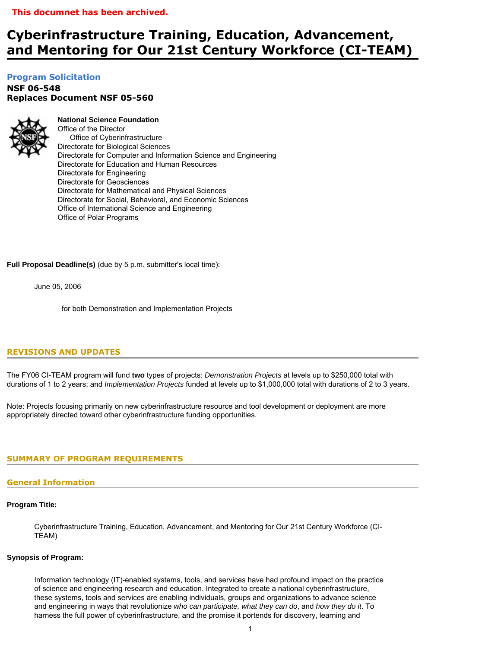# **Cyberinfrastructure Training, Education, Advancement, and Mentoring for Our 21st Century Workforce (CI-TEAM)**

# **[Program Solicitation](#page-3-0)**

**NSF 06-548**  *Replaces Document* **NSF 05-560** 



**National Science Foundation**

Office of the Director Office of Cyberinfrastructure Directorate for Biological Sciences Directorate for Computer and Information Science and Engineering Directorate for Education and Human Resources Directorate for Engineering Directorate for Geosciences Directorate for Mathematical and Physical Sciences Directorate for Social, Behavioral, and Economic Sciences Office of International Science and Engineering Office of Polar Programs

## **Full Proposal Deadline(s)** (due by 5 p.m. submitter's local time):

June 05, 2006

for both Demonstration and Implementation Projects

## **REVISIONS AND UPDATES**

The FY06 CI-TEAM program will fund **two** types of projects: *Demonstration Projects* at levels up to \$250,000 total with durations of 1 to 2 years; and *Implementation Projects* funded at levels up to \$1,000,000 total with durations of 2 to 3 years.

Note: Projects focusing primarily on new cyberinfrastructure resource and tool development or deployment are more appropriately directed toward other cyberinfrastructure funding opportunities.

## <span id="page-0-0"></span>**SUMMARY OF PROGRAM REQUIREMENTS**

## **General Information**

#### **Program Title:**

Cyberinfrastructure Training, Education, Advancement, and Mentoring for Our 21st Century Workforce (CI-TEAM)

#### **Synopsis of Program:**

Information technology (IT)-enabled systems, tools, and services have had profound impact on the practice of science and engineering research and education. Integrated to create a national cyberinfrastructure, these systems, tools and services are enabling individuals, groups and organizations to advance science and engineering in ways that revolutionize *who can participate, what they can do*, and *how they do it*. To harness the full power of cyberinfrastructure, and the promise it portends for discovery, learning and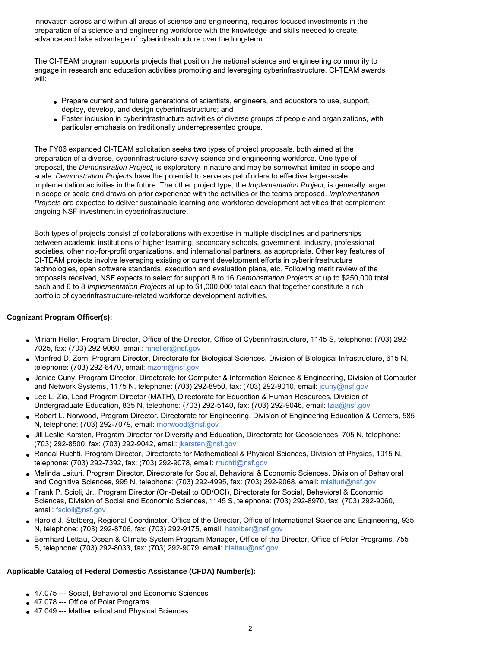innovation across and within all areas of science and engineering, requires focused investments in the preparation of a science and engineering workforce with the knowledge and skills needed to create, advance and take advantage of cyberinfrastructure over the long-term.

The CI-TEAM program supports projects that position the national science and engineering community to engage in research and education activities promoting and leveraging cyberinfrastructure. CI-TEAM awards will:

- Prepare current and future generations of scientists, engineers, and educators to use, support, deploy, develop, and design cyberinfrastructure; and
- Foster inclusion in cyberinfrastructure activities of diverse groups of people and organizations, with particular emphasis on traditionally underrepresented groups.

The FY06 expanded CI-TEAM solicitation seeks **two** types of project proposals, both aimed at the preparation of a diverse, cyberinfrastructure-savvy science and engineering workforce. One type of proposal, the *Demonstration Project,* is exploratory in nature and may be somewhat limited in scope and scale. *Demonstration Projects* have the potential to serve as pathfinders to effective larger-scale implementation activities in the future. The other project type, the *Implementation Project*, is generally larger in scope or scale and draws on prior experience with the activities or the teams proposed. *Implementation Projects* are expected to deliver sustainable learning and workforce development activities that complement ongoing NSF investment in cyberinfrastructure.

Both types of projects consist of collaborations with expertise in multiple disciplines and partnerships between academic institutions of higher learning, secondary schools, government, industry, professional societies, other not-for-profit organizations, and international partners, as appropriate. Other key features of CI-TEAM projects involve leveraging existing or current development efforts in cyberinfrastructure technologies, open software standards, execution and evaluation plans, etc. Following merit review of the proposals received, NSF expects to select for support 8 to 16 *Demonstration Projects* at up to \$250,000 total each and 6 to 8 *Implementation Projects* at up to \$1,000,000 total each that together constitute a rich portfolio of cyberinfrastructure-related workforce development activities.

## **Cognizant Program Officer(s):**

- Miriam Heller, Program Director, Office of the Director, Office of Cyberinfrastructure, 1145 S, telephone: (703) 292- 7025, fax: (703) 292-9060, email: [mheller@nsf.gov](mailto:mheller@nsf.gov)
- Manfred D. Zorn, Program Director, Directorate for Biological Sciences, Division of Biological Infrastructure, 615 N, telephone: (703) 292-8470, email: [mzorn@nsf.gov](mailto:mzorn@nsf.gov)
- Janice Cuny, Program Director, Directorate for Computer & Information Science & Engineering, Division of Computer and Network Systems, 1175 N, telephone: (703) 292-8950, fax: (703) 292-9010, email: [jcuny@nsf.gov](mailto:jcuny@nsf.gov)
- Lee L. Zia, Lead Program Director (MATH), Directorate for Education & Human Resources, Division of Undergraduate Education, 835 N, telephone: (703) 292-5140, fax: (703) 292-9046, email: [lzia@nsf.gov](mailto:lzia@nsf.gov)
- Robert L. Norwood, Program Director, Directorate for Engineering, Division of Engineering Education & Centers, 585 N, telephone: (703) 292-7079, email: [rnorwood@nsf.gov](mailto:rnorwood@nsf.gov)
- Jill Leslie Karsten, Program Director for Diversity and Education, Directorate for Geosciences, 705 N, telephone: (703) 292-8500, fax: (703) 292-9042, email: [jkarsten@nsf.gov](mailto:jkarsten@nsf.gov)
- Randal Ruchti, Program Director, Directorate for Mathematical & Physical Sciences, Division of Physics, 1015 N, telephone: (703) 292-7392, fax: (703) 292-9078, email: [rruchti@nsf.gov](mailto:rruchti@nsf.gov)
- Melinda Laituri, Program Director, Directorate for Social, Behavioral & Economic Sciences, Division of Behavioral and Cognitive Sciences, 995 N, telephone: (703) 292-4995, fax: (703) 292-9068, email: [mlaituri@nsf.gov](mailto:mlaituri@nsf.gov)
- Frank P. Scioli, Jr., Program Director (On-Detail to OD/OCI), Directorate for Social, Behavioral & Economic Sciences, Division of Social and Economic Sciences, 1145 S, telephone: (703) 292-8970, fax: (703) 292-9060, email: [fscioli@nsf.gov](mailto:fscioli@nsf.gov)
- Harold J. Stolberg, Regional Coordinator, Office of the Director, Office of International Science and Engineering, 935 N, telephone: (703) 292-8706, fax: (703) 292-9175, email: [hstolber@nsf.gov](mailto:hstolber@nsf.gov)
- Bernhard Lettau, Ocean & Climate System Program Manager, Office of the Director, Office of Polar Programs, 755 S, telephone: (703) 292-8033, fax: (703) 292-9079, email: [blettau@nsf.gov](mailto:blettau@nsf.gov)

## **Applicable Catalog of Federal Domestic Assistance (CFDA) Number(s):**

- 47.075 --- Social, Behavioral and Economic Sciences
- 47.078 --- Office of Polar Programs
- 47.049 --- Mathematical and Physical Sciences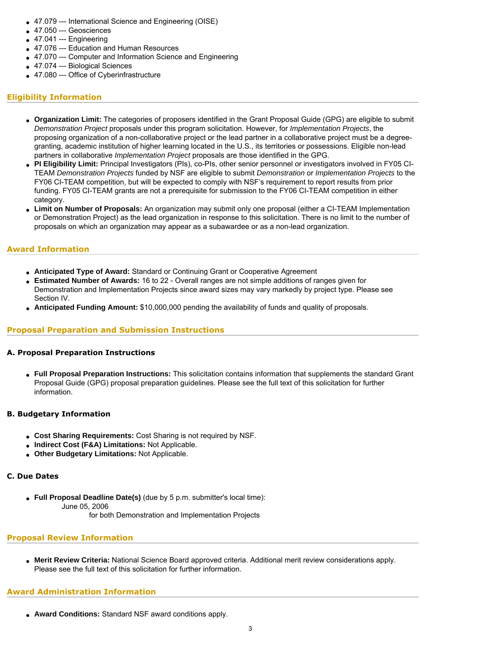- 47.079 --- International Science and Engineering (OISE)
- $\bullet$  47.050 --- Geosciences
- $47.041 -- Engineering$
- 47.076 --- Education and Human Resources
- 47.070 --- Computer and Information Science and Engineering
- 47.074 --- Biological Sciences
- 47.080 --- Office of Cyberinfrastructure

# **Eligibility Information**

- **Organization Limit:** The categories of proposers identified in the Grant Proposal Guide (GPG) are eligible to submit *Demonstration Project* proposals under this program solicitation. However, for *Implementation Projects*, the proposing organization of a non-collaborative project or the lead partner in a collaborative project must be a degreegranting, academic institution of higher learning located in the U.S., its territories or possessions. Eligible non-lead partners in collaborative *Implementation Project* proposals are those identified in the GPG.
- **PI Eligibility Limit:** Principal Investigators (PIs), co-PIs, other senior personnel or investigators involved in FY05 CI-TEAM *Demonstration Projects* funded by NSF are eligible to submit *Demonstration* or *Implementation Projects* to the FY06 CI-TEAM competition, but will be expected to comply with NSF's requirement to report results from prior funding. FY05 CI-TEAM grants are not a prerequisite for submission to the FY06 CI-TEAM competition in either category.
- **Limit on Number of Proposals:** An organization may submit only one proposal (either a CI-TEAM Implementation or Demonstration Project) as the lead organization in response to this solicitation. There is no limit to the number of proposals on which an organization may appear as a subawardee or as a non-lead organization.

## **Award Information**

- **Anticipated Type of Award:** Standard or Continuing Grant or Cooperative Agreement
- **Estimated Number of Awards:** 16 to 22 Overall ranges are not simple additions of ranges given for Demonstration and Implementation Projects since award sizes may vary markedly by project type. Please see Section IV.
- **Anticipated Funding Amount:** \$10,000,000 pending the availability of funds and quality of proposals.

## **Proposal Preparation and Submission Instructions**

## **A. Proposal Preparation Instructions**

● **Full Proposal Preparation Instructions:** This solicitation contains information that supplements the standard Grant Proposal Guide (GPG) proposal preparation guidelines. Please see the full text of this solicitation for further information.

## **B. Budgetary Information**

- Cost Sharing Requirements: Cost Sharing is not required by NSF.
- **Indirect Cost (F&A) Limitations: Not Applicable.**
- **Other Budgetary Limitations: Not Applicable.**

## **C. Due Dates**

● **Full Proposal Deadline Date(s)** (due by 5 p.m. submitter's local time): June 05, 2006

for both Demonstration and Implementation Projects

## **Proposal Review Information**

● **Merit Review Criteria:** National Science Board approved criteria. Additional merit review considerations apply. Please see the full text of this solicitation for further information.

## **Award Administration Information**

● **Award Conditions:** Standard NSF award conditions apply.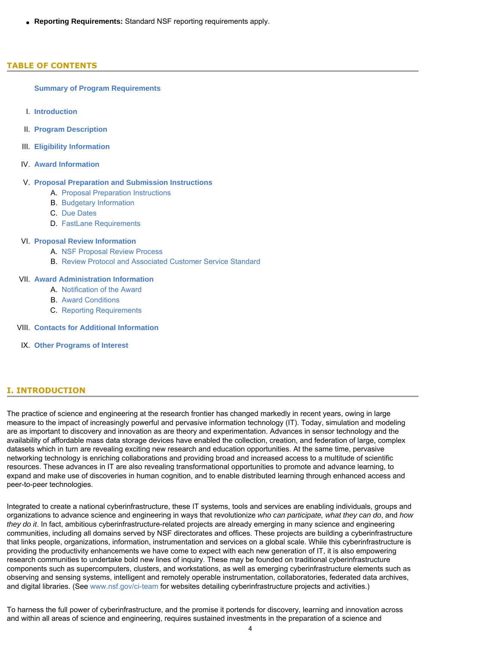• **Reporting Requirements:** Standard NSF reporting requirements apply.

#### <span id="page-3-0"></span>**TABLE OF CONTENTS**

#### **[Summary of Program Requirements](#page-0-0)**

- I. **[Introduction](#page-3-1)**
- II. **[Program Description](#page-4-0)**
- III. **[Eligibility Information](#page-5-0)**
- IV. **[Award Information](#page-6-0)**

#### V. **[Proposal Preparation and Submission Instructions](#page-6-1)**

- A. [Proposal Preparation Instructions](#page-6-1)
- B. [Budgetary Information](#page-7-0)
- C. [Due Dates](#page-7-1)
- D. [FastLane Requirements](#page-7-2)

#### VI. **[Proposal Review Information](#page-7-3)**

- A. [NSF Proposal Review Process](#page-7-4)
- B. [Review Protocol and Associated Customer Service Standard](#page-9-0)

## VII. **[Award Administration Information](#page-9-1)**

- A. [Notification of the Award](#page-9-2)
- B. [Award Conditions](#page-9-3)
- C. [Reporting Requirements](#page-10-0)
- VIII. **[Contacts for Additional Information](#page-10-1)**
- <span id="page-3-1"></span>IX. **[Other Programs of Interest](#page-11-0)**

## **I. INTRODUCTION**

The practice of science and engineering at the research frontier has changed markedly in recent years, owing in large measure to the impact of increasingly powerful and pervasive information technology (IT). Today, simulation and modeling are as important to discovery and innovation as are theory and experimentation. Advances in sensor technology and the availability of affordable mass data storage devices have enabled the collection, creation, and federation of large, complex datasets which in turn are revealing exciting new research and education opportunities. At the same time, pervasive networking technology is enriching collaborations and providing broad and increased access to a multitude of scientific resources. These advances in IT are also revealing transformational opportunities to promote and advance learning, to expand and make use of discoveries in human cognition, and to enable distributed learning through enhanced access and peer-to-peer technologies.

Integrated to create a national cyberinfrastructure, these IT systems, tools and services are enabling individuals, groups and organizations to advance science and engineering in ways that revolutionize *who can participate, what they can do*, and *how they do it*. In fact, ambitious cyberinfrastructure-related projects are already emerging in many science and engineering communities, including all domains served by NSF directorates and offices. These projects are building a cyberinfrastructure that links people, organizations, information, instrumentation and services on a global scale. While this cyberinfrastructure is providing the productivity enhancements we have come to expect with each new generation of IT, it is also empowering research communities to undertake bold new lines of inquiry. These may be founded on traditional cyberinfrastructure components such as supercomputers, clusters, and workstations, as well as emerging cyberinfrastructure elements such as observing and sensing systems, intelligent and remotely operable instrumentation, collaboratories, federated data archives, and digital libraries. (See [www.nsf.gov/ci-team](http://www.nsf.gov/ci-team) for websites detailing cyberinfrastructure projects and activities.)

To harness the full power of cyberinfrastructure, and the promise it portends for discovery, learning and innovation across and within all areas of science and engineering, requires sustained investments in the preparation of a science and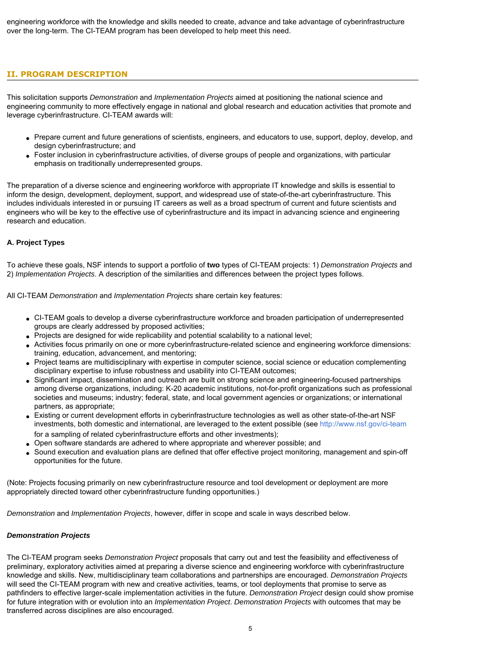<span id="page-4-0"></span>engineering workforce with the knowledge and skills needed to create, advance and take advantage of cyberinfrastructure over the long-term. The CI-TEAM program has been developed to help meet this need.

# **II. PROGRAM DESCRIPTION**

This solicitation supports *Demonstration* and *Implementation Projects* aimed at positioning the national science and engineering community to more effectively engage in national and global research and education activities that promote and leverage cyberinfrastructure. CI-TEAM awards will:

- Prepare current and future generations of scientists, engineers, and educators to use, support, deploy, develop, and design cyberinfrastructure; and
- Foster inclusion in cyberinfrastructure activities, of diverse groups of people and organizations, with particular emphasis on traditionally underrepresented groups.

The preparation of a diverse science and engineering workforce with appropriate IT knowledge and skills is essential to inform the design, development, deployment, support, and widespread use of state-of-the-art cyberinfrastructure. This includes individuals interested in or pursuing IT careers as well as a broad spectrum of current and future scientists and engineers who will be key to the effective use of cyberinfrastructure and its impact in advancing science and engineering research and education.

#### **A. Project Types**

To achieve these goals, NSF intends to support a portfolio of **two** types of CI-TEAM projects: 1) *Demonstration Projects* and 2) *Implementation Projects*. A description of the similarities and differences between the project types follows.

All CI-TEAM *Demonstration* and *Implementation Projects* share certain key features:

- CI-TEAM goals to develop a diverse cyberinfrastructure workforce and broaden participation of underrepresented groups are clearly addressed by proposed activities;
- Projects are designed for wide replicability and potential scalability to a national level;
- Activities focus primarily on one or more cyberinfrastructure-related science and engineering workforce dimensions: training, education, advancement, and mentoring;
- Project teams are multidisciplinary with expertise in computer science, social science or education complementing disciplinary expertise to infuse robustness and usability into CI-TEAM outcomes;
- Significant impact, dissemination and outreach are built on strong science and engineering-focused partnerships among diverse organizations, including: K-20 academic institutions, not-for-profit organizations such as professional societies and museums; industry; federal, state, and local government agencies or organizations; or international partners, as appropriate;
- Existing or current development efforts in cyberinfrastructure technologies as well as other state-of-the-art NSF investments, both domestic and international, are leveraged to the extent possible (see<http://www.nsf.gov/ci-team> for a sampling of related cyberinfrastructure efforts and other investments);
- Open software standards are adhered to where appropriate and wherever possible; and
- Sound execution and evaluation plans are defined that offer effective project monitoring, management and spin-off opportunities for the future.

(Note: Projects focusing primarily on new cyberinfrastructure resource and tool development or deployment are more appropriately directed toward other cyberinfrastructure funding opportunities.)

*Demonstration* and *Implementation Projects*, however, differ in scope and scale in ways described below.

#### *Demonstration Projects*

The CI-TEAM program seeks *Demonstration Project* proposals that carry out and test the feasibility and effectiveness of preliminary, exploratory activities aimed at preparing a diverse science and engineering workforce with cyberinfrastructure knowledge and skills. New, multidisciplinary team collaborations and partnerships are encouraged. *Demonstration Projects* will seed the CI-TEAM program with new and creative activities, teams, or tool deployments that promise to serve as pathfinders to effective larger-scale implementation activities in the future. *Demonstration Project* design could show promise for future integration with or evolution into an *Implementation Project*. *Demonstration Projects* with outcomes that may be transferred across disciplines are also encouraged.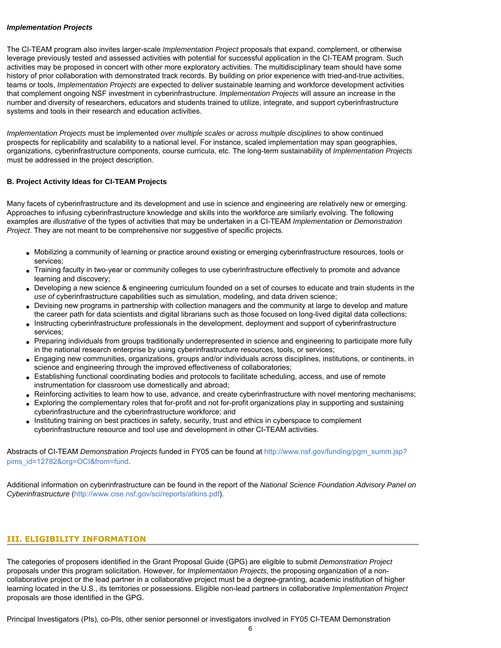#### *Implementation Projects*

The CI-TEAM program also invites larger-scale *Implementation Project* proposals that expand, complement, or otherwise leverage previously tested and assessed activities with potential for successful application in the CI-TEAM program. Such activities may be proposed in concert with other more exploratory activities. The multidisciplinary team should have some history of prior collaboration with demonstrated track records. By building on prior experience with tried-and-true activities, teams or tools, *Implementation Projects* are expected to deliver sustainable learning and workforce development activities that complement ongoing NSF investment in cyberinfrastructure. *Implementation Projects* will assure an increase in the number and diversity of researchers, educators and students trained to utilize, integrate, and support cyberinfrastructure systems and tools in their research and education activities.

*Implementation Projects* must be implemented *over multiple scales or across multiple disciplines* to show continued prospects for replicability and scalability to a national level. For instance, scaled implementation may span geographies, organizations, cyberinfrastructure components, course curricula, etc. The long-term sustainability of *Implementation Projects* must be addressed in the project description.

## **B. Project Activity Ideas for CI-TEAM Projects**

Many facets of cyberinfrastructure and its development and use in science and engineering are relatively new or emerging. Approaches to infusing cyberinfrastructure knowledge and skills into the workforce are similarly evolving. The following examples are *illustrative* of the types of activities that may be undertaken in a CI-TEAM *Implementation* or *Demonstration Project*. They are not meant to be comprehensive nor suggestive of specific projects.

- Mobilizing a community of learning or practice around existing or emerging cyberinfrastructure resources, tools or services;
- Training faculty in two-year or community colleges to use cyberinfrastructure effectively to promote and advance learning and discovery;
- Developing a new science & engineering curriculum founded on a set of courses to educate and train students in the *use of* cyberinfrastructure capabilities such as simulation, modeling, and data driven science;
- Devising new programs in partnership with collection managers and the community at large to develop and mature the career path for data scientists and digital librarians such as those focused on long-lived digital data collections;
- Instructing cyberinfrastructure professionals in the development, deployment and support of cyberinfrastructure services;
- Preparing individuals from groups traditionally underrepresented in science and engineering to participate more fully in the national research enterprise by using cyberinfrastructure resources, tools, or services;
- Engaging new communities, organizations, groups and/or individuals across disciplines, institutions, or continents, in science and engineering through the improved effectiveness of collaboratories;
- Establishing functional coordinating bodies and protocols to facilitate scheduling, access, and use of remote instrumentation for classroom use domestically and abroad;
- Reinforcing activities to learn how to use, advance, and create cyberinfrastructure with novel mentoring mechanisms;
- Exploring the complementary roles that for-profit and not for-profit organizations play in supporting and sustaining cyberinfrastructure and the cyberinfrastructure workforce; and
- Instituting training on best practices in safety, security, trust and ethics in cyberspace to complement cyberinfrastructure resource and tool use and development in other CI-TEAM activities.

Abstracts of CI-TEAM *Demonstration Projects* funded in FY05 can be found at [http://www.nsf.gov/funding/pgm\\_summ.jsp?](http://www.nsf.gov/funding/pgm_summ.jsp?pims_id=12782&org=OCI&from=fund) [pims\\_id=12782&org=OCI&from=fund](http://www.nsf.gov/funding/pgm_summ.jsp?pims_id=12782&org=OCI&from=fund).

Additional information on cyberinfrastructure can be found in the report of the *National Science Foundation Advisory Panel on Cyberinfrastructure* ([http://www.cise.nsf.gov/sci/reports/atkins.pdf\).](http://www.cise.nsf.gov/sci/reports/atkins.pdf)

## <span id="page-5-0"></span>**III. ELIGIBILITY INFORMATION**

The categories of proposers identified in the Grant Proposal Guide (GPG) are eligible to submit *Demonstration Project*  proposals under this program solicitation. However, for *Implementation Projects*, the proposing organization of a noncollaborative project or the lead partner in a collaborative project must be a degree-granting, academic institution of higher learning located in the U.S., its territories or possessions. Eligible non-lead partners in collaborative *Implementation Project*  proposals are those identified in the GPG.

Principal Investigators (PIs), co-PIs, other senior personnel or investigators involved in FY05 CI-TEAM Demonstration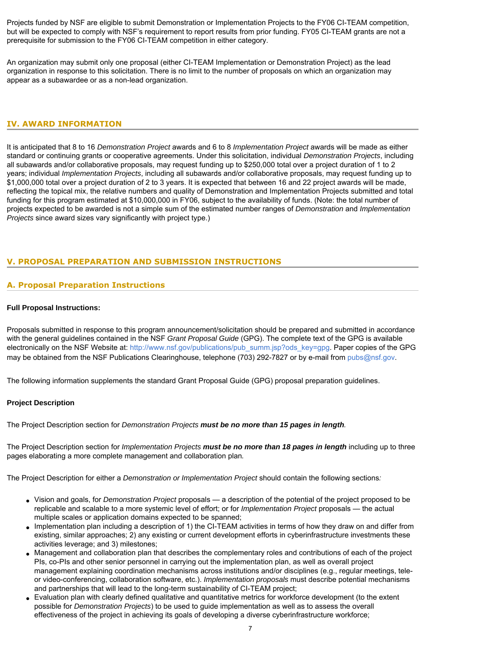Projects funded by NSF are eligible to submit Demonstration or Implementation Projects to the FY06 CI-TEAM competition, but will be expected to comply with NSF's requirement to report results from prior funding. FY05 CI-TEAM grants are not a prerequisite for submission to the FY06 CI-TEAM competition in either category.

An organization may submit only one proposal (either CI-TEAM Implementation or Demonstration Project) as the lead organization in response to this solicitation. There is no limit to the number of proposals on which an organization may appear as a subawardee or as a non-lead organization.

## <span id="page-6-0"></span>**IV. AWARD INFORMATION**

It is anticipated that 8 to 16 *Demonstration Project* awards and 6 to 8 *Implementation Project* awards will be made as either standard or continuing grants or cooperative agreements. Under this solicitation, individual *Demonstration Projects*, including all subawards and/or collaborative proposals, may request funding up to \$250,000 total over a project duration of 1 to 2 years; individual *Implementation Projects*, including all subawards and/or collaborative proposals, may request funding up to \$1,000,000 total over a project duration of 2 to 3 years. It is expected that between 16 and 22 project awards will be made, reflecting the topical mix, the relative numbers and quality of Demonstration and Implementation Projects submitted and total funding for this program estimated at \$10,000,000 in FY06, subject to the availability of funds. (Note: the total number of projects expected to be awarded is not a simple sum of the estimated number ranges of *Demonstration* and *Implementation Projects* since award sizes vary significantly with project type.)

## <span id="page-6-1"></span>**V. PROPOSAL PREPARATION AND SUBMISSION INSTRUCTIONS**

## **A. Proposal Preparation Instructions**

#### **Full Proposal Instructions:**

Proposals submitted in response to this program announcement/solicitation should be prepared and submitted in accordance with the general guidelines contained in the NSF *Grant Proposal Guide* (GPG). The complete text of the GPG is available electronically on the NSF Website at: [http://www.nsf.gov/publications/pub\\_summ.jsp?ods\\_key=gpg](http://www.nsf.gov/publications/pub_summ.jsp?ods_key=gpg). Paper copies of the GPG may be obtained from the NSF Publications Clearinghouse, telephone (703) 292-7827 or by e-mail from [pubs@nsf.gov.](mailto:pubs@nsf.gov)

The following information supplements the standard Grant Proposal Guide (GPG) proposal preparation guidelines.

#### **Project Description**

The Project Description section for *Demonstration Projects must be no more than 15 pages in length.*

The Project Description section for *Implementation Projects must be no more than 18 pages in length* including up to three pages elaborating a more complete management and collaboration plan*.*

The Project Description for either a *Demonstration or Implementation Project* should contain the following sections*:*

- Vision and goals, for *Demonstration Project* proposals a description of the potential of the project proposed to be replicable and scalable to a more systemic level of effort; or for *Implementation Project* proposals — the actual multiple scales or application domains expected to be spanned;
- Implementation plan including a description of 1) the CI-TEAM activities in terms of how they draw on and differ from existing, similar approaches; 2) any existing or current development efforts in cyberinfrastructure investments these activities leverage; and 3) milestones;
- Management and collaboration plan that describes the complementary roles and contributions of each of the project PIs, co-PIs and other senior personnel in carrying out the implementation plan, as well as overall project management explaining coordination mechanisms across institutions and/or disciplines (e.g., regular meetings, teleor video-conferencing, collaboration software, etc.). *Implementation proposals* must describe potential mechanisms and partnerships that will lead to the long-term sustainability of CI-TEAM project;
- Evaluation plan with clearly defined qualitative and quantitative metrics for workforce development (to the extent possible for *Demonstration Projects*) to be used to guide implementation as well as to assess the overall effectiveness of the project in achieving its goals of developing a diverse cyberinfrastructure workforce;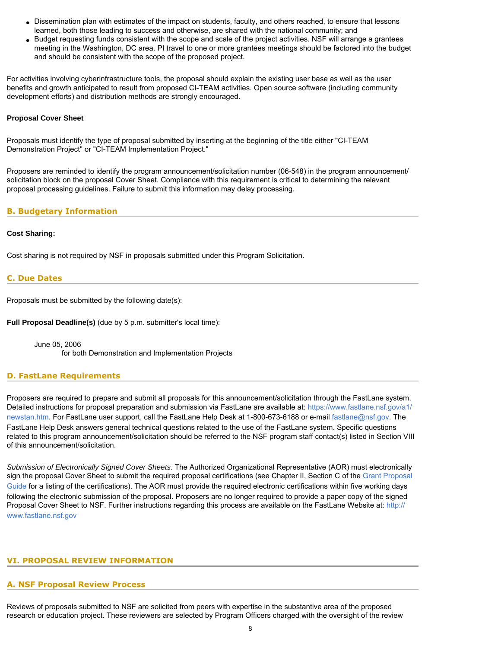- Dissemination plan with estimates of the impact on students, faculty, and others reached, to ensure that lessons learned, both those leading to success and otherwise, are shared with the national community; and
- Budget requesting funds consistent with the scope and scale of the project activities. NSF will arrange a grantees meeting in the Washington, DC area. PI travel to one or more grantees meetings should be factored into the budget and should be consistent with the scope of the proposed project.

For activities involving cyberinfrastructure tools, the proposal should explain the existing user base as well as the user benefits and growth anticipated to result from proposed CI-TEAM activities. Open source software (including community development efforts) and distribution methods are strongly encouraged.

#### **Proposal Cover Sheet**

Proposals must identify the type of proposal submitted by inserting at the beginning of the title either "CI-TEAM Demonstration Project" or "CI-TEAM Implementation Project."

Proposers are reminded to identify the program announcement/solicitation number (06-548) in the program announcement/ solicitation block on the proposal Cover Sheet. Compliance with this requirement is critical to determining the relevant proposal processing guidelines. Failure to submit this information may delay processing.

## <span id="page-7-0"></span>**B. Budgetary Information**

#### **Cost Sharing:**

Cost sharing is not required by NSF in proposals submitted under this Program Solicitation.

#### <span id="page-7-1"></span>**C. Due Dates**

Proposals must be submitted by the following date(s):

**Full Proposal Deadline(s)** (due by 5 p.m. submitter's local time):

June 05, 2006 for both Demonstration and Implementation Projects

#### <span id="page-7-2"></span>**D. FastLane Requirements**

Proposers are required to prepare and submit all proposals for this announcement/solicitation through the FastLane system. Detailed instructions for proposal preparation and submission via FastLane are available at: [https://www.fastlane.nsf.gov/a1/](https://www.fastlane.nsf.gov/a1/newstan.htm) [newstan.htm.](https://www.fastlane.nsf.gov/a1/newstan.htm) For FastLane user support, call the FastLane Help Desk at 1-800-673-6188 or e-mail [fastlane@nsf.gov.](mailto:fastlane@nsf.gov) The FastLane Help Desk answers general technical questions related to the use of the FastLane system. Specific questions related to this program announcement/solicitation should be referred to the NSF program staff contact(s) listed in Section VIII of this announcement/solicitation.

*Submission of Electronically Signed Cover Sheets*. The Authorized Organizational Representative (AOR) must electronically sign the proposal Cover Sheet to submit the required proposal certifications (see Chapter II, Section C of the [Grant Proposal](http://www.nsf.gov/publications/pub_summ.jsp?ods_key=gpg) [Guide](http://www.nsf.gov/publications/pub_summ.jsp?ods_key=gpg) for a listing of the certifications). The AOR must provide the required electronic certifications within five working days following the electronic submission of the proposal. Proposers are no longer required to provide a paper copy of the signed Proposal Cover Sheet to NSF. Further instructions regarding this process are available on the FastLane Website at: [http://](http://www.fastlane.nsf.gov/) [www.fastlane.nsf.gov](http://www.fastlane.nsf.gov/)

## <span id="page-7-4"></span><span id="page-7-3"></span>**VI. PROPOSAL REVIEW INFORMATION**

#### **A. NSF Proposal Review Process**

Reviews of proposals submitted to NSF are solicited from peers with expertise in the substantive area of the proposed research or education project. These reviewers are selected by Program Officers charged with the oversight of the review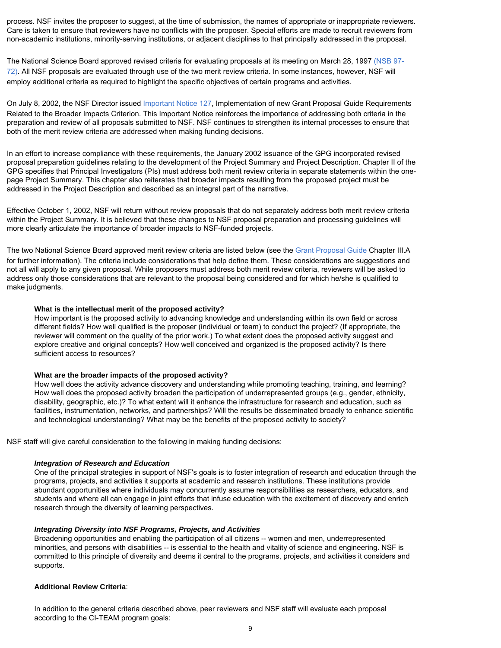process. NSF invites the proposer to suggest, at the time of submission, the names of appropriate or inappropriate reviewers. Care is taken to ensure that reviewers have no conflicts with the proposer. Special efforts are made to recruit reviewers from non-academic institutions, minority-serving institutions, or adjacent disciplines to that principally addressed in the proposal.

The National Science Board approved revised criteria for evaluating proposals at its meeting on March 28, 1997 [\(NSB 97-](http://www.nsf.gov/publications/pub_summ.jsp?ods_key=nsb9772) [72\)](http://www.nsf.gov/publications/pub_summ.jsp?ods_key=nsb9772). All NSF proposals are evaluated through use of the two merit review criteria. In some instances, however, NSF will employ additional criteria as required to highlight the specific objectives of certain programs and activities.

On July 8, 2002, the NSF Director issued [Important Notice 127,](http://www.nsf.gov/publications/pub_summ.jsp?ods_key=iin127) Implementation of new Grant Proposal Guide Requirements Related to the Broader Impacts Criterion. This Important Notice reinforces the importance of addressing both criteria in the preparation and review of all proposals submitted to NSF. NSF continues to strengthen its internal processes to ensure that both of the merit review criteria are addressed when making funding decisions.

In an effort to increase compliance with these requirements, the January 2002 issuance of the GPG incorporated revised proposal preparation guidelines relating to the development of the Project Summary and Project Description. Chapter II of the GPG specifies that Principal Investigators (PIs) must address both merit review criteria in separate statements within the onepage Project Summary. This chapter also reiterates that broader impacts resulting from the proposed project must be addressed in the Project Description and described as an integral part of the narrative.

Effective October 1, 2002, NSF will return without review proposals that do not separately address both merit review criteria within the Project Summary. It is believed that these changes to NSF proposal preparation and processing guidelines will more clearly articulate the importance of broader impacts to NSF-funded projects.

The two National Science Board approved merit review criteria are listed below (see the [Grant Proposal Guide](http://www.nsf.gov/publications/pub_summ.jsp?ods_key=gpg) Chapter III.A for further information). The criteria include considerations that help define them. These considerations are suggestions and not all will apply to any given proposal. While proposers must address both merit review criteria, reviewers will be asked to address only those considerations that are relevant to the proposal being considered and for which he/she is qualified to make judgments.

#### **What is the intellectual merit of the proposed activity?**

How important is the proposed activity to advancing knowledge and understanding within its own field or across different fields? How well qualified is the proposer (individual or team) to conduct the project? (If appropriate, the reviewer will comment on the quality of the prior work.) To what extent does the proposed activity suggest and explore creative and original concepts? How well conceived and organized is the proposed activity? Is there sufficient access to resources?

#### **What are the broader impacts of the proposed activity?**

How well does the activity advance discovery and understanding while promoting teaching, training, and learning? How well does the proposed activity broaden the participation of underrepresented groups (e.g., gender, ethnicity, disability, geographic, etc.)? To what extent will it enhance the infrastructure for research and education, such as facilities, instrumentation, networks, and partnerships? Will the results be disseminated broadly to enhance scientific and technological understanding? What may be the benefits of the proposed activity to society?

NSF staff will give careful consideration to the following in making funding decisions:

#### *Integration of Research and Education*

One of the principal strategies in support of NSF's goals is to foster integration of research and education through the programs, projects, and activities it supports at academic and research institutions. These institutions provide abundant opportunities where individuals may concurrently assume responsibilities as researchers, educators, and students and where all can engage in joint efforts that infuse education with the excitement of discovery and enrich research through the diversity of learning perspectives.

#### *Integrating Diversity into NSF Programs, Projects, and Activities*

Broadening opportunities and enabling the participation of all citizens -- women and men, underrepresented minorities, and persons with disabilities -- is essential to the health and vitality of science and engineering. NSF is committed to this principle of diversity and deems it central to the programs, projects, and activities it considers and supports.

#### **Additional Review Criteria**:

In addition to the general criteria described above, peer reviewers and NSF staff will evaluate each proposal according to the CI-TEAM program goals: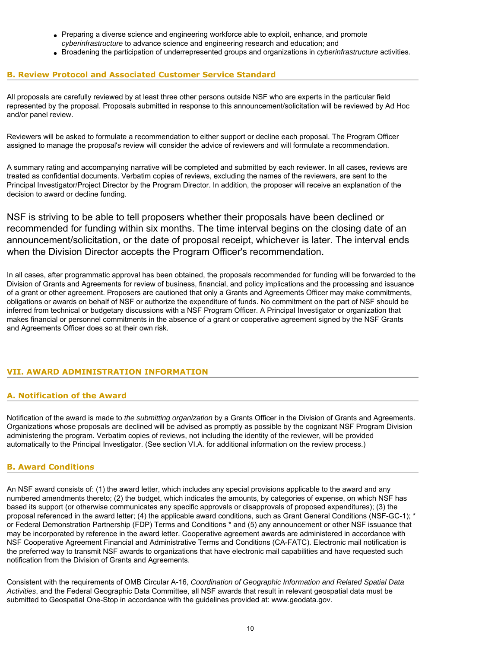- Preparing a diverse science and engineering workforce able to exploit, enhance, and promote *cyberinfrastructure* to advance science and engineering research and education; and
- Broadening the participation of underrepresented groups and organizations in *cyberinfrastructure* activities.

## <span id="page-9-0"></span>**B. Review Protocol and Associated Customer Service Standard**

All proposals are carefully reviewed by at least three other persons outside NSF who are experts in the particular field represented by the proposal. Proposals submitted in response to this announcement/solicitation will be reviewed by Ad Hoc and/or panel review.

Reviewers will be asked to formulate a recommendation to either support or decline each proposal. The Program Officer assigned to manage the proposal's review will consider the advice of reviewers and will formulate a recommendation.

A summary rating and accompanying narrative will be completed and submitted by each reviewer. In all cases, reviews are treated as confidential documents. Verbatim copies of reviews, excluding the names of the reviewers, are sent to the Principal Investigator/Project Director by the Program Director. In addition, the proposer will receive an explanation of the decision to award or decline funding.

NSF is striving to be able to tell proposers whether their proposals have been declined or recommended for funding within six months. The time interval begins on the closing date of an announcement/solicitation, or the date of proposal receipt, whichever is later. The interval ends when the Division Director accepts the Program Officer's recommendation.

In all cases, after programmatic approval has been obtained, the proposals recommended for funding will be forwarded to the Division of Grants and Agreements for review of business, financial, and policy implications and the processing and issuance of a grant or other agreement. Proposers are cautioned that only a Grants and Agreements Officer may make commitments, obligations or awards on behalf of NSF or authorize the expenditure of funds. No commitment on the part of NSF should be inferred from technical or budgetary discussions with a NSF Program Officer. A Principal Investigator or organization that makes financial or personnel commitments in the absence of a grant or cooperative agreement signed by the NSF Grants and Agreements Officer does so at their own risk.

## <span id="page-9-2"></span><span id="page-9-1"></span>**VII. AWARD ADMINISTRATION INFORMATION**

#### **A. Notification of the Award**

Notification of the award is made to *the submitting organization* by a Grants Officer in the Division of Grants and Agreements. Organizations whose proposals are declined will be advised as promptly as possible by the cognizant NSF Program Division administering the program. Verbatim copies of reviews, not including the identity of the reviewer, will be provided automatically to the Principal Investigator. (See section VI.A. for additional information on the review process.)

#### <span id="page-9-3"></span>**B. Award Conditions**

An NSF award consists of: (1) the award letter, which includes any special provisions applicable to the award and any numbered amendments thereto; (2) the budget, which indicates the amounts, by categories of expense, on which NSF has based its support (or otherwise communicates any specific approvals or disapprovals of proposed expenditures); (3) the proposal referenced in the award letter; (4) the applicable award conditions, such as Grant General Conditions (NSF-GC-1); \* or Federal Demonstration Partnership (FDP) Terms and Conditions \* and (5) any announcement or other NSF issuance that may be incorporated by reference in the award letter. Cooperative agreement awards are administered in accordance with NSF Cooperative Agreement Financial and Administrative Terms and Conditions (CA-FATC). Electronic mail notification is the preferred way to transmit NSF awards to organizations that have electronic mail capabilities and have requested such notification from the Division of Grants and Agreements.

Consistent with the requirements of OMB Circular A-16, *Coordination of Geographic Information and Related Spatial Data Activities*, and the Federal Geographic Data Committee, all NSF awards that result in relevant geospatial data must be submitted to Geospatial One-Stop in accordance with the guidelines provided at: www.geodata.gov.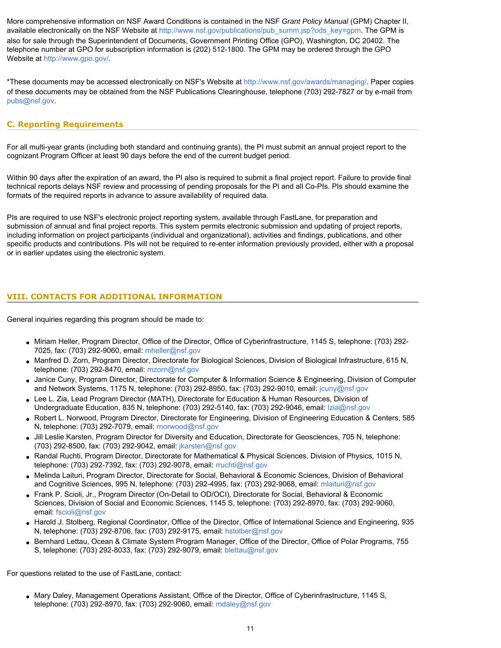More comprehensive information on NSF Award Conditions is contained in the NSF *Grant Policy Manual* (GPM) Chapter II, available electronically on the NSF Website at [http://www.nsf.gov/publications/pub\\_summ.jsp?ods\\_key=gpm](http://www.nsf.gov/publications/pub_summ.jsp?ods_key=gpm). The GPM is also for sale through the Superintendent of Documents, Government Printing Office (GPO), Washington, DC 20402. The telephone number at GPO for subscription information is (202) 512-1800. The GPM may be ordered through the GPO Website at [http://www.gpo.gov/.](http://www.gpo.gov/)

\*These documents may be accessed electronically on NSF's Website at<http://www.nsf.gov/awards/managing/>. Paper copies of these documents may be obtained from the NSF Publications Clearinghouse, telephone (703) 292-7827 or by e-mail from [pubs@nsf.gov](mailto:pubs@nsf.gov).

## <span id="page-10-0"></span>**C. Reporting Requirements**

For all multi-year grants (including both standard and continuing grants), the PI must submit an annual project report to the cognizant Program Officer at least 90 days before the end of the current budget period.

Within 90 days after the expiration of an award, the PI also is required to submit a final project report. Failure to provide final technical reports delays NSF review and processing of pending proposals for the PI and all Co-PIs. PIs should examine the formats of the required reports in advance to assure availability of required data.

PIs are required to use NSF's electronic project reporting system, available through FastLane, for preparation and submission of annual and final project reports. This system permits electronic submission and updating of project reports, including information on project participants (individual and organizational), activities and findings, publications, and other specific products and contributions. PIs will not be required to re-enter information previously provided, either with a proposal or in earlier updates using the electronic system.

# <span id="page-10-1"></span>**VIII. CONTACTS FOR ADDITIONAL INFORMATION**

General inquiries regarding this program should be made to:

- Miriam Heller, Program Director, Office of the Director, Office of Cyberinfrastructure, 1145 S, telephone: (703) 292- 7025, fax: (703) 292-9060, email: [mheller@nsf.gov](mailto:mheller@nsf.gov)
- Manfred D. Zorn, Program Director, Directorate for Biological Sciences, Division of Biological Infrastructure, 615 N, telephone: (703) 292-8470, email: [mzorn@nsf.gov](mailto:mzorn@nsf.gov)
- Janice Cuny, Program Director, Directorate for Computer & Information Science & Engineering, Division of Computer and Network Systems, 1175 N, telephone: (703) 292-8950, fax: (703) 292-9010, email: [jcuny@nsf.gov](mailto:jcuny@nsf.gov)
- Lee L. Zia, Lead Program Director (MATH), Directorate for Education & Human Resources, Division of Undergraduate Education, 835 N, telephone: (703) 292-5140, fax: (703) 292-9046, email: [lzia@nsf.gov](mailto:lzia@nsf.gov)
- Robert L. Norwood, Program Director, Directorate for Engineering, Division of Engineering Education & Centers, 585 N, telephone: (703) 292-7079, email: [rnorwood@nsf.gov](mailto:rnorwood@nsf.gov)
- Jill Leslie Karsten, Program Director for Diversity and Education, Directorate for Geosciences, 705 N, telephone: (703) 292-8500, fax: (703) 292-9042, email: [jkarsten@nsf.gov](mailto:jkarsten@nsf.gov)
- Randal Ruchti, Program Director, Directorate for Mathematical & Physical Sciences, Division of Physics, 1015 N, telephone: (703) 292-7392, fax: (703) 292-9078, email: [rruchti@nsf.gov](mailto:rruchti@nsf.gov)
- Melinda Laituri, Program Director, Directorate for Social, Behavioral & Economic Sciences, Division of Behavioral and Cognitive Sciences, 995 N, telephone: (703) 292-4995, fax: (703) 292-9068, email: [mlaituri@nsf.gov](mailto:mlaituri@nsf.gov)
- Frank P. Scioli, Jr., Program Director (On-Detail to OD/OCI), Directorate for Social, Behavioral & Economic Sciences, Division of Social and Economic Sciences, 1145 S, telephone: (703) 292-8970, fax: (703) 292-9060, email: [fscioli@nsf.gov](mailto:fscioli@nsf.gov)
- Harold J. Stolberg, Regional Coordinator, Office of the Director, Office of International Science and Engineering, 935 N, telephone: (703) 292-8706, fax: (703) 292-9175, email: [hstolber@nsf.gov](mailto:hstolber@nsf.gov)
- Bernhard Lettau, Ocean & Climate System Program Manager, Office of the Director, Office of Polar Programs, 755 S, telephone: (703) 292-8033, fax: (703) 292-9079, email: [blettau@nsf.gov](mailto:blettau@nsf.gov)

For questions related to the use of FastLane, contact:

• Mary Daley, Management Operations Assistant, Office of the Director, Office of Cyberinfrastructure, 1145 S, telephone: (703) 292-8970, fax: (703) 292-9060, email: [mdaley@nsf.gov](mailto:mdaley@nsf.gov)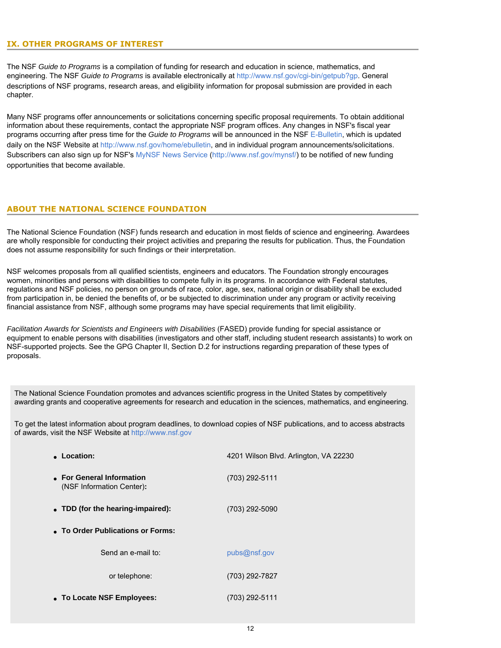#### <span id="page-11-0"></span>**IX. OTHER PROGRAMS OF INTEREST**

The NSF *Guide to Programs* is a compilation of funding for research and education in science, mathematics, and engineering. The NSF *Guide to Programs* is available electronically at<http://www.nsf.gov/cgi-bin/getpub?gp>. General descriptions of NSF programs, research areas, and eligibility information for proposal submission are provided in each chapter.

Many NSF programs offer announcements or solicitations concerning specific proposal requirements. To obtain additional information about these requirements, contact the appropriate NSF program offices. Any changes in NSF's fiscal year programs occurring after press time for the *Guide to Programs* will be announced in the NSF [E-Bulletin](http://www.nsf.gov/home/ebulletin), which is updated daily on the NSF Website at [http://www.nsf.gov/home/ebulletin,](http://www.nsf.gov/home/ebulletin) and in individual program announcements/solicitations. Subscribers can also sign up for NSF's [MyNSF News Service \(http://www.nsf.gov/mynsf/](http://www.nsf.gov/mynsf/)) to be notified of new funding opportunities that become available.

#### **ABOUT THE NATIONAL SCIENCE FOUNDATION**

The National Science Foundation (NSF) funds research and education in most fields of science and engineering. Awardees are wholly responsible for conducting their project activities and preparing the results for publication. Thus, the Foundation does not assume responsibility for such findings or their interpretation.

NSF welcomes proposals from all qualified scientists, engineers and educators. The Foundation strongly encourages women, minorities and persons with disabilities to compete fully in its programs. In accordance with Federal statutes, regulations and NSF policies, no person on grounds of race, color, age, sex, national origin or disability shall be excluded from participation in, be denied the benefits of, or be subjected to discrimination under any program or activity receiving financial assistance from NSF, although some programs may have special requirements that limit eligibility.

*Facilitation Awards for Scientists and Engineers with Disabilities* (FASED) provide funding for special assistance or equipment to enable persons with disabilities (investigators and other staff, including student research assistants) to work on NSF-supported projects. See the GPG Chapter II, Section D.2 for instructions regarding preparation of these types of proposals.

The National Science Foundation promotes and advances scientific progress in the United States by competitively awarding grants and cooperative agreements for research and education in the sciences, mathematics, and engineering.

To get the latest information about program deadlines, to download copies of NSF publications, and to access abstracts of awards, visit the NSF Website at [http://www.nsf.gov](http://www.nsf.gov/)

| • Location:                                            | 4201 Wilson Blvd. Arlington, VA 22230 |  |  |  |  |
|--------------------------------------------------------|---------------------------------------|--|--|--|--|
| • For General Information<br>(NSF Information Center): | (703) 292-5111                        |  |  |  |  |
| • TDD (for the hearing-impaired):                      | (703) 292-5090                        |  |  |  |  |
| • To Order Publications or Forms:                      |                                       |  |  |  |  |
| Send an e-mail to:                                     | pubs@nsf.gov                          |  |  |  |  |
| or telephone:                                          | (703) 292-7827                        |  |  |  |  |
| • To Locate NSF Employees:                             | (703) 292-5111                        |  |  |  |  |